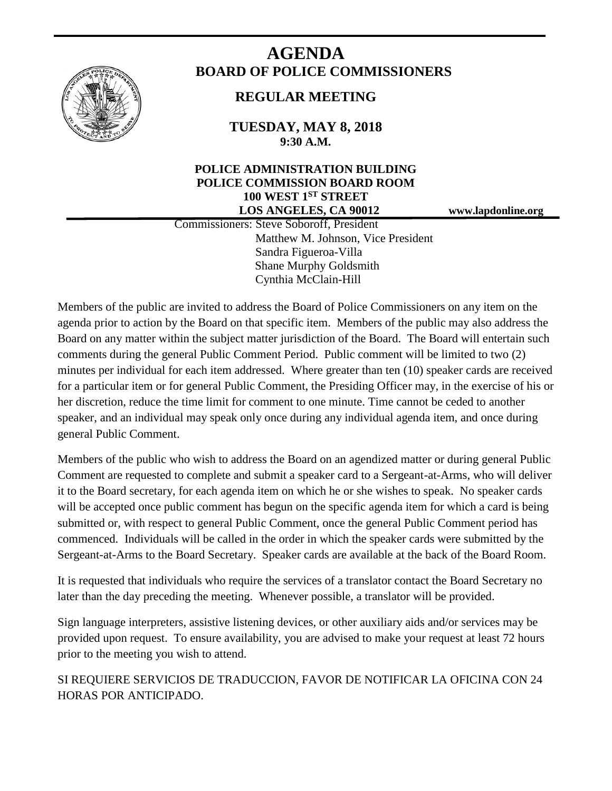

# **AGENDA BOARD OF POLICE COMMISSIONERS**

# **REGULAR MEETING**

**TUESDAY, MAY 8, 2018 9:30 A.M.**

## **POLICE ADMINISTRATION BUILDING POLICE COMMISSION BOARD ROOM 100 WEST 1ST STREET LOS ANGELES, CA 90012 www.lapdonline.org**

 Commissioners: Steve Soboroff, President Matthew M. Johnson, Vice President Sandra Figueroa-Villa Shane Murphy Goldsmith Cynthia McClain-Hill

Members of the public are invited to address the Board of Police Commissioners on any item on the agenda prior to action by the Board on that specific item. Members of the public may also address the Board on any matter within the subject matter jurisdiction of the Board. The Board will entertain such comments during the general Public Comment Period. Public comment will be limited to two (2) minutes per individual for each item addressed. Where greater than ten (10) speaker cards are received for a particular item or for general Public Comment, the Presiding Officer may, in the exercise of his or her discretion, reduce the time limit for comment to one minute. Time cannot be ceded to another speaker, and an individual may speak only once during any individual agenda item, and once during general Public Comment.

Members of the public who wish to address the Board on an agendized matter or during general Public Comment are requested to complete and submit a speaker card to a Sergeant-at-Arms, who will deliver it to the Board secretary, for each agenda item on which he or she wishes to speak. No speaker cards will be accepted once public comment has begun on the specific agenda item for which a card is being submitted or, with respect to general Public Comment, once the general Public Comment period has commenced. Individuals will be called in the order in which the speaker cards were submitted by the Sergeant-at-Arms to the Board Secretary. Speaker cards are available at the back of the Board Room.

It is requested that individuals who require the services of a translator contact the Board Secretary no later than the day preceding the meeting. Whenever possible, a translator will be provided.

Sign language interpreters, assistive listening devices, or other auxiliary aids and/or services may be provided upon request. To ensure availability, you are advised to make your request at least 72 hours prior to the meeting you wish to attend.

SI REQUIERE SERVICIOS DE TRADUCCION, FAVOR DE NOTIFICAR LA OFICINA CON 24 HORAS POR ANTICIPADO.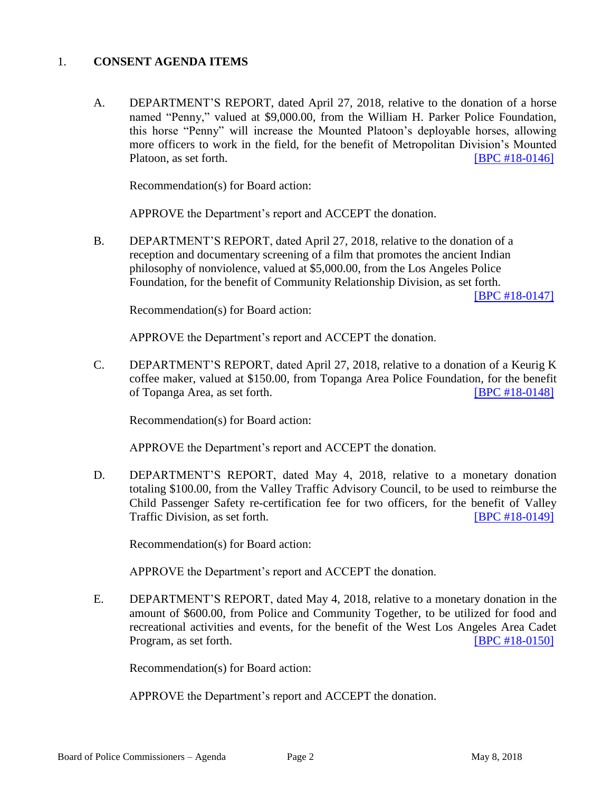#### 1. **CONSENT AGENDA ITEMS**

A. DEPARTMENT'S REPORT, dated April 27, 2018, relative to the donation of a horse named "Penny," valued at \$9,000.00, from the William H. Parker Police Foundation, this horse "Penny" will increase the Mounted Platoon's deployable horses, allowing more officers to work in the field, for the benefit of Metropolitan Division's Mounted Platoon, as set forth. **IDPC #18-0146** 

Recommendation(s) for Board action:

APPROVE the Department's report and ACCEPT the donation.

B. DEPARTMENT'S REPORT, dated April 27, 2018, relative to the donation of a reception and documentary screening of a film that promotes the ancient Indian philosophy of nonviolence, valued at \$5,000.00, from the Los Angeles Police Foundation, for the benefit of Community Relationship Division, as set forth.

[\[BPC #18-0147\]](http://www.lapdpolicecom.lacity.org/050818/BPC_18-0147.pdf)

Recommendation(s) for Board action:

APPROVE the Department's report and ACCEPT the donation.

C. DEPARTMENT'S REPORT, dated April 27, 2018, relative to a donation of a Keurig K coffee maker, valued at \$150.00, from Topanga Area Police Foundation, for the benefit of Topanga Area, as set forth. [\[BPC #18-0148\]](http://www.lapdpolicecom.lacity.org/050818/BPC_18-0148.pdf)

Recommendation(s) for Board action:

APPROVE the Department's report and ACCEPT the donation.

D. DEPARTMENT'S REPORT, dated May 4, 2018, relative to a monetary donation totaling \$100.00, from the Valley Traffic Advisory Council, to be used to reimburse the Child Passenger Safety re-certification fee for two officers, for the benefit of Valley Traffic Division, as set forth. [\[BPC #18-0149\]](http://www.lapdpolicecom.lacity.org/050818/BPC_18-0149.pdf)

Recommendation(s) for Board action:

APPROVE the Department's report and ACCEPT the donation.

E. DEPARTMENT'S REPORT, dated May 4, 2018, relative to a monetary donation in the amount of \$600.00, from Police and Community Together, to be utilized for food and recreational activities and events, for the benefit of the West Los Angeles Area Cadet Program, as set forth. **IDPC #18-0150** 

Recommendation(s) for Board action:

APPROVE the Department's report and ACCEPT the donation.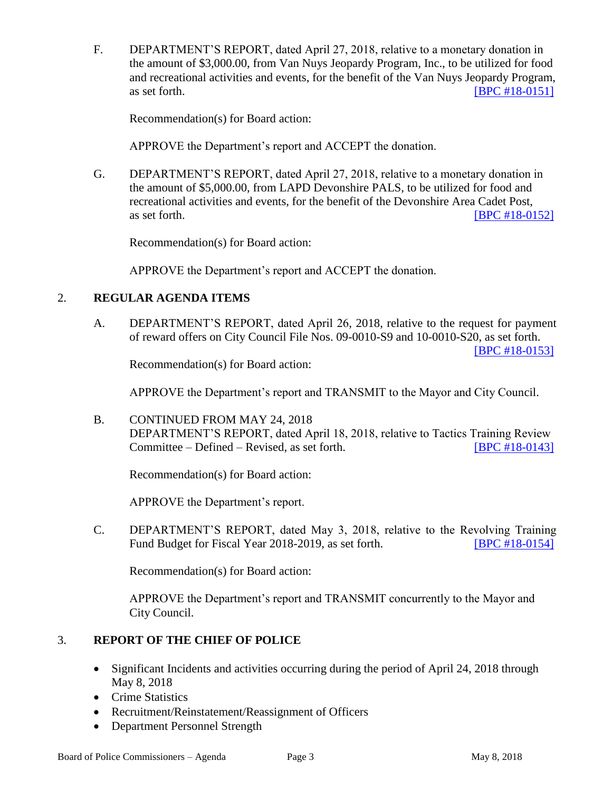F. DEPARTMENT'S REPORT, dated April 27, 2018, relative to a monetary donation in the amount of \$3,000.00, from Van Nuys Jeopardy Program, Inc., to be utilized for food and recreational activities and events, for the benefit of the Van Nuys Jeopardy Program, as set forth. **IBPC #18-0151** 

Recommendation(s) for Board action:

APPROVE the Department's report and ACCEPT the donation.

G. DEPARTMENT'S REPORT, dated April 27, 2018, relative to a monetary donation in the amount of \$5,000.00, from LAPD Devonshire PALS, to be utilized for food and recreational activities and events, for the benefit of the Devonshire Area Cadet Post, as set forth. **IBPC #18-0152** 

Recommendation(s) for Board action:

APPROVE the Department's report and ACCEPT the donation.

### 2. **REGULAR AGENDA ITEMS**

A. DEPARTMENT'S REPORT, dated April 26, 2018, relative to the request for payment of reward offers on City Council File Nos. 09-0010-S9 and 10-0010-S20, as set forth.

[\[BPC #18-0153\]](http://www.lapdpolicecom.lacity.org/050818/BPC_18-0153.pdf)

Recommendation(s) for Board action:

APPROVE the Department's report and TRANSMIT to the Mayor and City Council.

B. CONTINUED FROM MAY 24, 2018 DEPARTMENT'S REPORT, dated April 18, 2018, relative to Tactics Training Review Committee – Defined – Revised, as set forth. [\[BPC #18-0143\]](http://www.lapdpolicecom.lacity.org/050818/BPC_18-0143.pdf)

Recommendation(s) for Board action:

APPROVE the Department's report.

C. DEPARTMENT'S REPORT, dated May 3, 2018, relative to the Revolving Training Fund Budget for Fiscal Year 2018-2019, as set forth. **IBPC #18-0154** 

Recommendation(s) for Board action:

APPROVE the Department's report and TRANSMIT concurrently to the Mayor and City Council.

### 3. **REPORT OF THE CHIEF OF POLICE**

- Significant Incidents and activities occurring during the period of April 24, 2018 through May 8, 2018
- Crime Statistics
- Recruitment/Reinstatement/Reassignment of Officers
- Department Personnel Strength